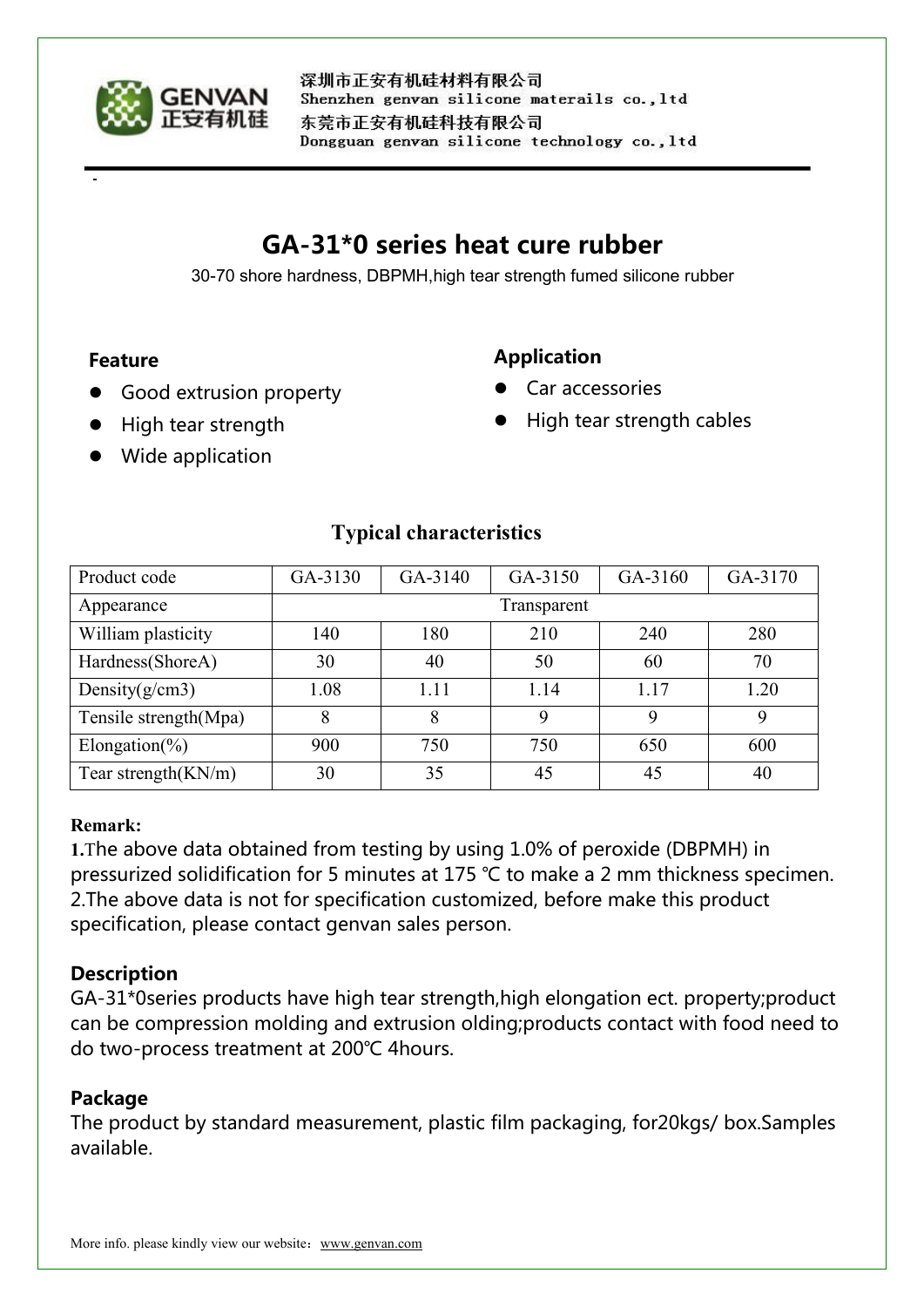

深圳市正安有机硅材料有限公司 Shenzhen genvan silicone materails co., ltd 东莞市正安有机硅科技有限公司 Dongguan genvan silicone technology co., ltd

# **GA-31\*0 series heat cure rubber**

30-70 shore hardness, DBPMH,high tear strength fumed silicone rubber

#### **Feature**

## **Application**

- Good extrusion property
- High tear strength cables

Car accessories

Wide application

High tear strength

| Product code           | GA-3130     | GA-3140 | GA-3150 | GA-3160 | GA-3170     |
|------------------------|-------------|---------|---------|---------|-------------|
| Appearance             | Transparent |         |         |         |             |
| William plasticity     | 140         | 180     | 210     | 240     | 280         |
| Hardness(ShoreA)       | 30          | 40      | 50      | 60      | 70          |
| Density $(g/cm3)$      | 1.08        | 1.11    | 1.14    | 1.17    | 1.20        |
| Tensile strength(Mpa)  |             | 8       |         | 9       | $\mathbf Q$ |
| Elongation(%)          | 900         | 750     | 750     | 650     | 600         |
| Tear strength $(KN/m)$ | 30          | 35      | 45      | 45      | 40          |

## **Typical characteristics**

#### **Remark:**

**1.**The above data obtained from testing by using 1.0% of peroxide (DBPMH) in pressurized solidification for 5 minutes at 175 ℃ to make a 2 mm thickness specimen. 2. The above data is not for specification customized, before make this product specification, please contact genvan sales person.

## **Description**

GA-31\*0series products have high tear strength,high elongation ect. property;product can be compression molding and extrusion olding;products contact with food need to do two-process treatment at 200℃ 4hours.

## **Package**

The product by standard measurement, plastic film packaging, for20kgs/ box.Samples available.